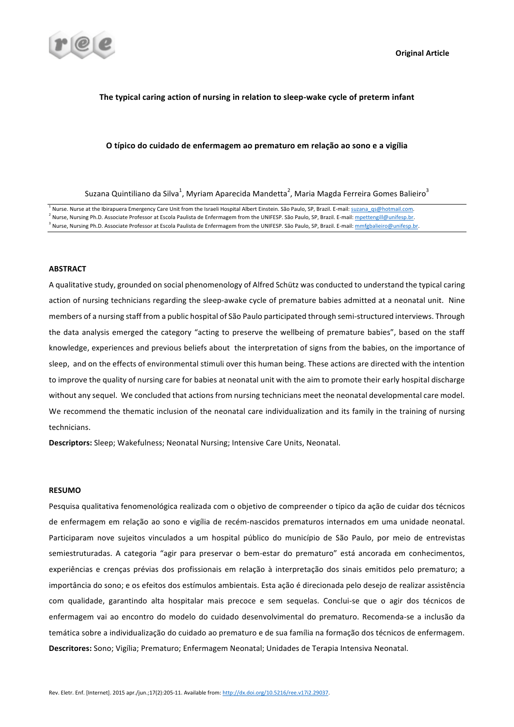

## The typical caring action of nursing in relation to sleep-wake cycle of preterm infant

# **O típico do cuidado de enfermagem ao prematuro em relação ao sono e a vigília**

Suzana Quintiliano da Silva $^1$ , Myriam Aparecida Mandetta $^2$ , Maria Magda Ferreira Gomes Balieiro $^3$ 

<sup>1</sup> Nurse. Nurse at the Ibirapuera Emergency Care Unit from the Israeli Hospital Albert Einstein. São Paulo, SP, Brazil. E-mail: suzana qs@hotmail.com.

Nurse, Nursing Ph.D. Associate Professor at Escola Paulista de Enfermagem from the UNIFESP. São Paulo, SP, Brazil. E-mail: mpettengill@unifesp.br.

<sup>3</sup> Nurse, Nursing Ph.D. Associate Professor at Escola Paulista de Enfermagem from the UNIFESP. São Paulo, SP, Brazil. E-mail: mmfgbalieiro@unifesp.br.

# **ABSTRACT**

A qualitative study, grounded on social phenomenology of Alfred Schütz was conducted to understand the typical caring action of nursing technicians regarding the sleep-awake cycle of premature babies admitted at a neonatal unit. Nine members of a nursing staff from a public hospital of São Paulo participated through semi-structured interviews. Through the data analysis emerged the category "acting to preserve the wellbeing of premature babies", based on the staff knowledge, experiences and previous beliefs about the interpretation of signs from the babies, on the importance of sleep, and on the effects of environmental stimuli over this human being. These actions are directed with the intention to improve the quality of nursing care for babies at neonatal unit with the aim to promote their early hospital discharge without any sequel. We concluded that actions from nursing technicians meet the neonatal developmental care model. We recommend the thematic inclusion of the neonatal care individualization and its family in the training of nursing technicians. 

**Descriptors:** Sleep; Wakefulness; Neonatal Nursing; Intensive Care Units, Neonatal.

### **RESUMO**

Pesquisa qualitativa fenomenológica realizada com o objetivo de compreender o típico da ação de cuidar dos técnicos de enfermagem em relação ao sono e vigília de recém-nascidos prematuros internados em uma unidade neonatal. Participaram nove sujeitos vinculados a um hospital público do município de São Paulo, por meio de entrevistas semiestruturadas. A categoria "agir para preservar o bem-estar do prematuro" está ancorada em conhecimentos, experiências e crenças prévias dos profissionais em relação à interpretação dos sinais emitidos pelo prematuro; a importância do sono; e os efeitos dos estímulos ambientais. Esta ação é direcionada pelo desejo de realizar assistência com qualidade, garantindo alta hospitalar mais precoce e sem sequelas. Conclui-se que o agir dos técnicos de enfermagem vai ao encontro do modelo do cuidado desenvolvimental do prematuro. Recomenda-se a inclusão da temática sobre a individualização do cuidado ao prematuro e de sua família na formação dos técnicos de enfermagem. Descritores: Sono; Vigília; Prematuro; Enfermagem Neonatal; Unidades de Terapia Intensiva Neonatal.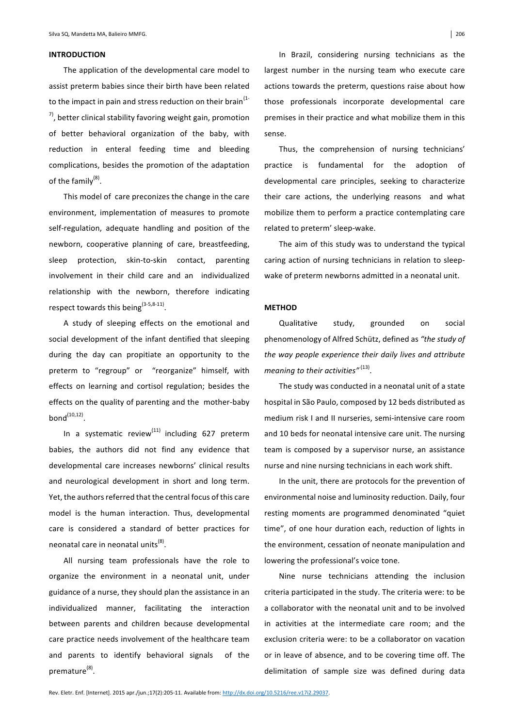# **INTRODUCTION**

The application of the developmental care model to assist preterm babies since their birth have been related to the impact in pain and stress reduction on their brain<sup>(1-1)</sup>  $7$ , better clinical stability favoring weight gain, promotion of better behavioral organization of the baby, with reduction in enteral feeding time and bleeding complications, besides the promotion of the adaptation of the family<sup>(8)</sup>.

This model of care preconizes the change in the care environment, implementation of measures to promote self-regulation, adequate handling and position of the newborn, cooperative planning of care, breastfeeding, sleep protection, skin-to-skin contact, parenting involvement in their child care and an individualized relationship with the newborn, therefore indicating respect towards this being $(3-5,8-11)$ .

A study of sleeping effects on the emotional and social development of the infant dentified that sleeping during the day can propitiate an opportunity to the preterm to "regroup" or "reorganize" himself, with effects on learning and cortisol regulation; besides the effects on the quality of parenting and the mother-baby  $bond^{(10,12)}$ 

In a systematic review<sup>(11)</sup> including 627 preterm babies, the authors did not find any evidence that developmental care increases newborns' clinical results and neurological development in short and long term. Yet, the authors referred that the central focus of this care model is the human interaction. Thus, developmental care is considered a standard of better practices for neonatal care in neonatal units<sup>(8)</sup>.

All nursing team professionals have the role to organize the environment in a neonatal unit, under guidance of a nurse, they should plan the assistance in an individualized manner, facilitating the interaction between parents and children because developmental care practice needs involvement of the healthcare team and parents to identify behavioral signals of the premature<sup>(8)</sup>.

In Brazil, considering nursing technicians as the largest number in the nursing team who execute care actions towards the preterm, questions raise about how those professionals incorporate developmental care premises in their practice and what mobilize them in this sense.

Thus, the comprehension of nursing technicians' practice is fundamental for the adoption of developmental care principles, seeking to characterize their care actions, the underlying reasons and what mobilize them to perform a practice contemplating care related to preterm' sleep-wake.

The aim of this study was to understand the typical caring action of nursing technicians in relation to sleepwake of preterm newborns admitted in a neonatal unit.

#### **METHOD**

Qualitative study, grounded on social phenomenology of Alfred Schütz, defined as "the study of the way people experience their daily lives and attribute *meaning to their activities"* <sup>(13)</sup>.

The study was conducted in a neonatal unit of a state hospital in São Paulo, composed by 12 beds distributed as medium risk I and II nurseries, semi-intensive care room and 10 beds for neonatal intensive care unit. The nursing team is composed by a supervisor nurse, an assistance nurse and nine nursing technicians in each work shift.

In the unit, there are protocols for the prevention of environmental noise and luminosity reduction. Daily, four resting moments are programmed denominated "quiet time", of one hour duration each, reduction of lights in the environment, cessation of neonate manipulation and lowering the professional's voice tone.

Nine nurse technicians attending the inclusion criteria participated in the study. The criteria were: to be a collaborator with the neonatal unit and to be involved in activities at the intermediate care room; and the exclusion criteria were: to be a collaborator on vacation or in leave of absence, and to be covering time off. The delimitation of sample size was defined during data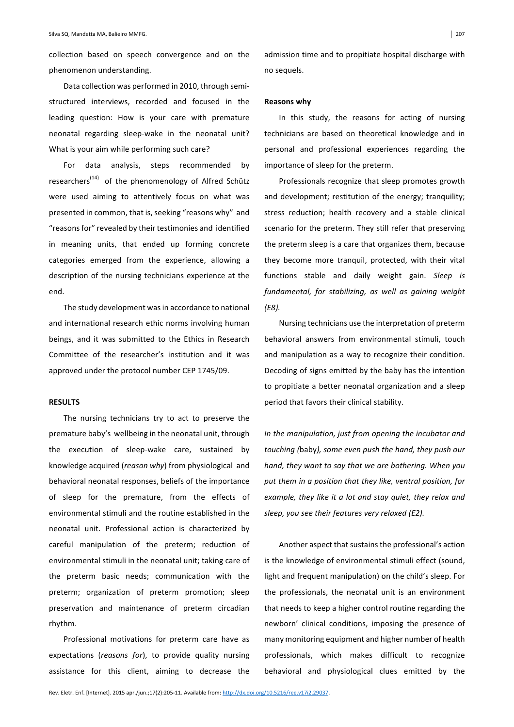collection based on speech convergence and on the phenomenon understanding.

Data collection was performed in 2010, through semistructured interviews, recorded and focused in the leading question: How is your care with premature neonatal regarding sleep-wake in the neonatal unit? What is your aim while performing such care?

For data analysis, steps recommended by researchers<sup>(14)</sup> of the phenomenology of Alfred Schütz were used aiming to attentively focus on what was presented in common, that is, seeking "reasons why" and "reasons for" revealed by their testimonies and identified in meaning units, that ended up forming concrete categories emerged from the experience, allowing a description of the nursing technicians experience at the end. 

The study development was in accordance to national and international research ethic norms involving human beings, and it was submitted to the Ethics in Research Committee of the researcher's institution and it was approved under the protocol number CEP 1745/09.

# **RESULTS**

The nursing technicians try to act to preserve the premature baby's wellbeing in the neonatal unit, through the execution of sleep-wake care, sustained by knowledge acquired (*reason why*) from physiological and behavioral neonatal responses, beliefs of the importance of sleep for the premature, from the effects of environmental stimuli and the routine established in the neonatal unit. Professional action is characterized by careful manipulation of the preterm; reduction of environmental stimuli in the neonatal unit; taking care of the preterm basic needs; communication with the preterm; organization of preterm promotion; sleep preservation and maintenance of preterm circadian rhythm. 

Professional motivations for preterm care have as expectations (reasons for), to provide quality nursing assistance for this client, aiming to decrease the

admission time and to propitiate hospital discharge with no sequels.

#### **Reasons why**

In this study, the reasons for acting of nursing technicians are based on theoretical knowledge and in personal and professional experiences regarding the importance of sleep for the preterm.

Professionals recognize that sleep promotes growth and development; restitution of the energy; tranquility; stress reduction; health recovery and a stable clinical scenario for the preterm. They still refer that preserving the preterm sleep is a care that organizes them, because they become more tranquil, protected, with their vital functions stable and daily weight gain. Sleep is fundamental, for stabilizing, as well as gaining weight *(E8).*

Nursing technicians use the interpretation of preterm behavioral answers from environmental stimuli, touch and manipulation as a way to recognize their condition. Decoding of signs emitted by the baby has the intention to propitiate a better neonatal organization and a sleep period that favors their clinical stability.

*In the manipulation, just from opening the incubator and touching* (baby), some even push the hand, they push our *hand, they want to say that we are bothering. When you* put them in a position that they like, ventral position, for *example, they like it a lot and stay quiet, they relax and* sleep, you see their features very relaxed (E2).

Another aspect that sustains the professional's action is the knowledge of environmental stimuli effect (sound, light and frequent manipulation) on the child's sleep. For the professionals, the neonatal unit is an environment that needs to keep a higher control routine regarding the newborn' clinical conditions, imposing the presence of many monitoring equipment and higher number of health professionals, which makes difficult to recognize behavioral and physiological clues emitted by the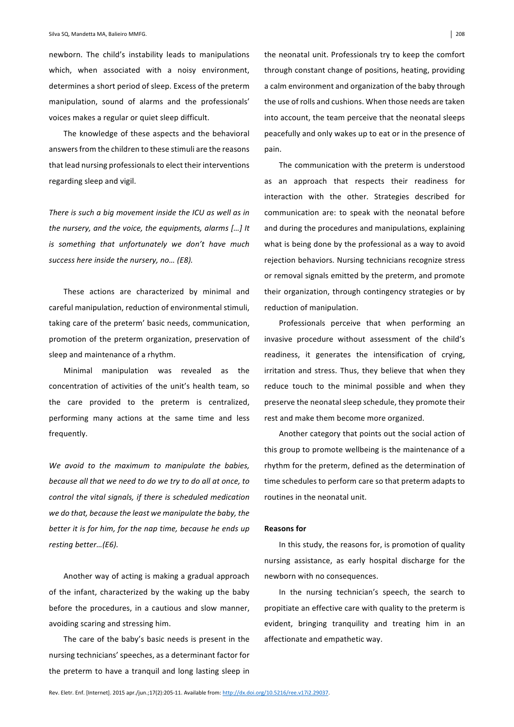newborn. The child's instability leads to manipulations which, when associated with a noisy environment, determines a short period of sleep. Excess of the preterm manipulation, sound of alarms and the professionals' voices makes a regular or quiet sleep difficult.

The knowledge of these aspects and the behavioral answers from the children to these stimuli are the reasons that lead nursing professionals to elect their interventions regarding sleep and vigil.

There is such a big movement inside the ICU as well as in *the nursery, and the voice, the equipments, alarms [...] It is* something that unfortunately we don't have much success here inside the nursery, no... (E8).

These actions are characterized by minimal and careful manipulation, reduction of environmental stimuli, taking care of the preterm' basic needs, communication, promotion of the preterm organization, preservation of sleep and maintenance of a rhythm.

Minimal manipulation was revealed as the concentration of activities of the unit's health team, so the care provided to the preterm is centralized, performing many actions at the same time and less frequently. 

We avoid to the maximum to manipulate the babies, *because all that we need to do we try to do all at once, to control the vital signals, if there is scheduled medication* we do that, because the least we manipulate the baby, the *better it is for him, for the nap time, because he ends up resting better…(E6).*

Another way of acting is making a gradual approach of the infant, characterized by the waking up the baby before the procedures, in a cautious and slow manner, avoiding scaring and stressing him.

The care of the baby's basic needs is present in the nursing technicians' speeches, as a determinant factor for the preterm to have a tranquil and long lasting sleep in the neonatal unit. Professionals try to keep the comfort through constant change of positions, heating, providing a calm environment and organization of the baby through the use of rolls and cushions. When those needs are taken into account, the team perceive that the neonatal sleeps peacefully and only wakes up to eat or in the presence of pain. 

The communication with the preterm is understood as an approach that respects their readiness for interaction with the other. Strategies described for communication are: to speak with the neonatal before and during the procedures and manipulations, explaining what is being done by the professional as a way to avoid rejection behaviors. Nursing technicians recognize stress or removal signals emitted by the preterm, and promote their organization, through contingency strategies or by reduction of manipulation.

Professionals perceive that when performing an invasive procedure without assessment of the child's readiness, it generates the intensification of crying, irritation and stress. Thus, they believe that when they reduce touch to the minimal possible and when they preserve the neonatal sleep schedule, they promote their rest and make them become more organized.

Another category that points out the social action of this group to promote wellbeing is the maintenance of a rhythm for the preterm, defined as the determination of time schedules to perform care so that preterm adapts to routines in the neonatal unit.

#### **Reasons for**

In this study, the reasons for, is promotion of quality nursing assistance, as early hospital discharge for the newborn with no consequences.

In the nursing technician's speech, the search to propitiate an effective care with quality to the preterm is evident, bringing tranquility and treating him in an affectionate and empathetic way.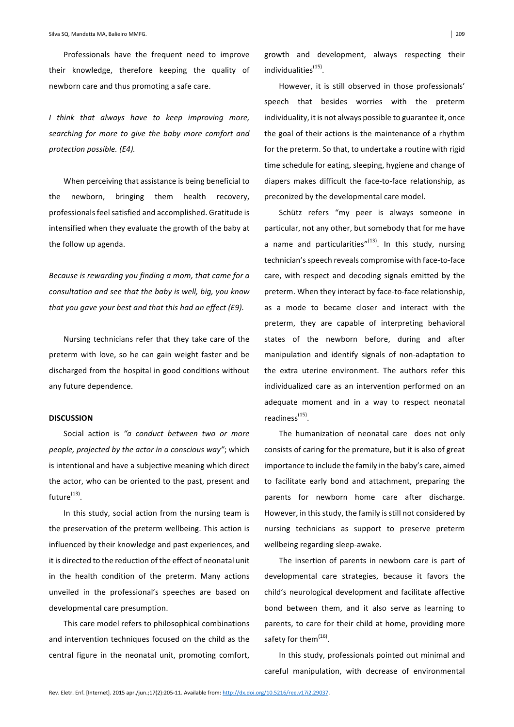Professionals have the frequent need to improve their knowledge, therefore keeping the quality of newborn care and thus promoting a safe care.

*I think that always have to keep improving more,*  searching for more to give the baby more comfort and *protection possible. (E4).* 

When perceiving that assistance is being beneficial to the newborn, bringing them health recovery, professionals feel satisfied and accomplished. Gratitude is intensified when they evaluate the growth of the baby at the follow up agenda.

*Because is rewarding you finding a mom, that came for a consultation and see that the baby is well, big, you know that you gave your best and that this had an effect (E9).* 

Nursing technicians refer that they take care of the preterm with love, so he can gain weight faster and be discharged from the hospital in good conditions without any future dependence.

# **DISCUSSION**

Social action is "a conduct between two or more *people, projected by the actor in a conscious way"*; which is intentional and have a subjective meaning which direct the actor, who can be oriented to the past, present and future $(13)$ .

In this study, social action from the nursing team is the preservation of the preterm wellbeing. This action is influenced by their knowledge and past experiences, and it is directed to the reduction of the effect of neonatal unit in the health condition of the preterm. Many actions unveiled in the professional's speeches are based on developmental care presumption.

This care model refers to philosophical combinations and intervention techniques focused on the child as the central figure in the neonatal unit, promoting comfort, growth and development, always respecting their individualities<sup>(15)</sup>.

However, it is still observed in those professionals' speech that besides worries with the preterm individuality, it is not always possible to guarantee it, once the goal of their actions is the maintenance of a rhythm for the preterm. So that, to undertake a routine with rigid time schedule for eating, sleeping, hygiene and change of diapers makes difficult the face-to-face relationship, as preconized by the developmental care model.

Schütz refers "my peer is always someone in particular, not any other, but somebody that for me have a name and particularities" $(13)$ . In this study, nursing technician's speech reveals compromise with face-to-face care, with respect and decoding signals emitted by the preterm. When they interact by face-to-face relationship, as a mode to became closer and interact with the preterm, they are capable of interpreting behavioral states of the newborn before, during and after manipulation and identify signals of non-adaptation to the extra uterine environment. The authors refer this individualized care as an intervention performed on an adequate moment and in a way to respect neonatal readiness $^{(15)}$ .

The humanization of neonatal care does not only consists of caring for the premature, but it is also of great importance to include the family in the baby's care, aimed to facilitate early bond and attachment, preparing the parents for newborn home care after discharge. However, in this study, the family is still not considered by nursing technicians as support to preserve preterm wellbeing regarding sleep-awake.

The insertion of parents in newborn care is part of developmental care strategies, because it favors the child's neurological development and facilitate affective bond between them, and it also serve as learning to parents, to care for their child at home, providing more safety for them<sup>(16)</sup>.

In this study, professionals pointed out minimal and careful manipulation, with decrease of environmental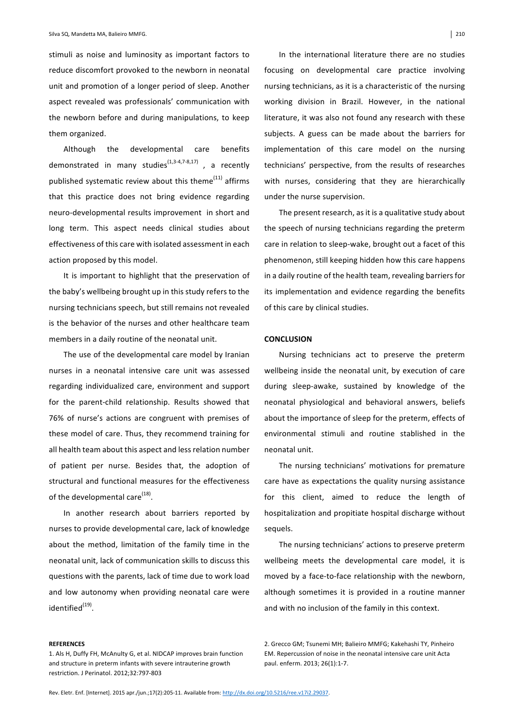stimuli as noise and luminosity as important factors to reduce discomfort provoked to the newborn in neonatal unit and promotion of a longer period of sleep. Another aspect revealed was professionals' communication with the newborn before and during manipulations, to keep them organized.

Although the developmental care benefits demonstrated in many studies<sup>(1,3-4,7-8,17)</sup>, a recently published systematic review about this theme $^{(11)}$  affirms that this practice does not bring evidence regarding neuro-developmental results improvement in short and long term. This aspect needs clinical studies about effectiveness of this care with isolated assessment in each action proposed by this model.

It is important to highlight that the preservation of the baby's wellbeing brought up in this study refers to the nursing technicians speech, but still remains not revealed is the behavior of the nurses and other healthcare team members in a daily routine of the neonatal unit.

The use of the developmental care model by Iranian nurses in a neonatal intensive care unit was assessed regarding individualized care, environment and support for the parent-child relationship. Results showed that 76% of nurse's actions are congruent with premises of these model of care. Thus, they recommend training for all health team about this aspect and less relation number of patient per nurse. Besides that, the adoption of structural and functional measures for the effectiveness of the developmental care $^{(18)}$ .

In another research about barriers reported by nurses to provide developmental care, lack of knowledge about the method, limitation of the family time in the neonatal unit, lack of communication skills to discuss this questions with the parents, lack of time due to work load and low autonomy when providing neonatal care were  $identified^{(19)}$ .

#### **REFERENCES**

In the international literature there are no studies focusing on developmental care practice involving nursing technicians, as it is a characteristic of the nursing working division in Brazil. However, in the national literature, it was also not found any research with these subjects. A guess can be made about the barriers for implementation of this care model on the nursing technicians' perspective, from the results of researches with nurses, considering that they are hierarchically under the nurse supervision.

The present research, as it is a qualitative study about the speech of nursing technicians regarding the preterm care in relation to sleep-wake, brought out a facet of this phenomenon, still keeping hidden how this care happens in a daily routine of the health team, revealing barriers for its implementation and evidence regarding the benefits of this care by clinical studies.

#### **CONCLUSION**

Nursing technicians act to preserve the preterm wellbeing inside the neonatal unit, by execution of care during sleep-awake, sustained by knowledge of the neonatal physiological and behavioral answers, beliefs about the importance of sleep for the preterm, effects of environmental stimuli and routine stablished in the neonatal unit.

The nursing technicians' motivations for premature care have as expectations the quality nursing assistance for this client, aimed to reduce the length of hospitalization and propitiate hospital discharge without sequels. 

The nursing technicians' actions to preserve preterm wellbeing meets the developmental care model, it is moved by a face-to-face relationship with the newborn, although sometimes it is provided in a routine manner and with no inclusion of the family in this context.

2. Grecco GM; Tsunemi MH; Balieiro MMFG; Kakehashi TY, Pinheiro EM. Repercussion of noise in the neonatal intensive care unit Acta paul. enferm. 2013; 26(1):1-7.

<sup>1.</sup> Als H, Duffy FH, McAnulty G, et al. NIDCAP improves brain function and structure in preterm infants with severe intrauterine growth restriction. J Perinatol. 2012;32:797-803